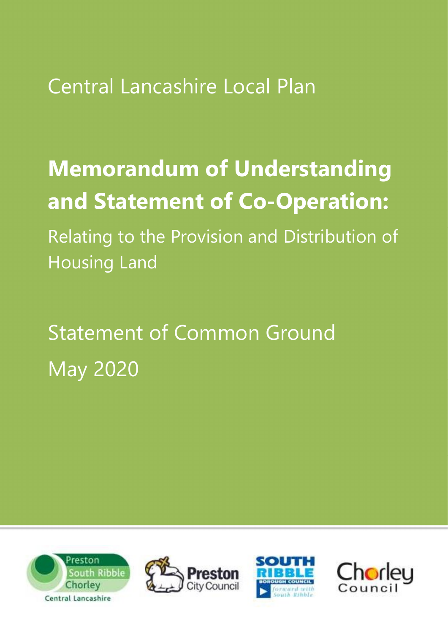Central Lancashire Local Plan

## Memorandum of Understanding and Statement of Co-Operation:

Relating to the Provision and Distribution of Housing Land

# Statement of Common Ground May 2020







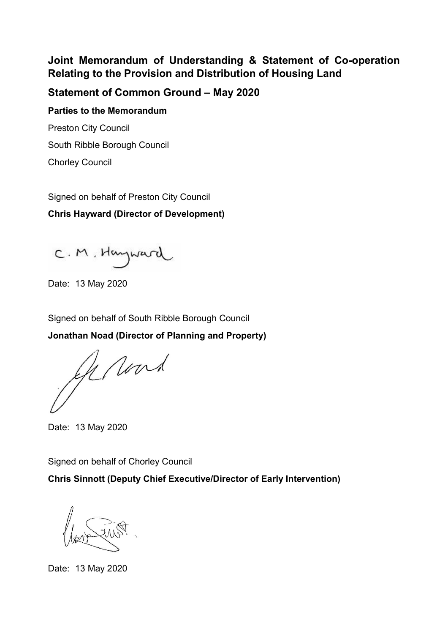## Joint Memorandum of Understanding & Statement of Co-operation Relating to the Provision and Distribution of Housing Land

### Statement of Common Ground – May 2020

Parties to the Memorandum Preston City Council

South Ribble Borough Council

Chorley Council

Signed on behalf of Preston City Council

Chris Hayward (Director of Development)

C.M. Hayward

Date: 13 May 2020

Signed on behalf of South Ribble Borough Council

Jonathan Noad (Director of Planning and Property)

Gerard

Date: 13 May 2020

Signed on behalf of Chorley Council

Chris Sinnott (Deputy Chief Executive/Director of Early Intervention)

Date: 13 May 2020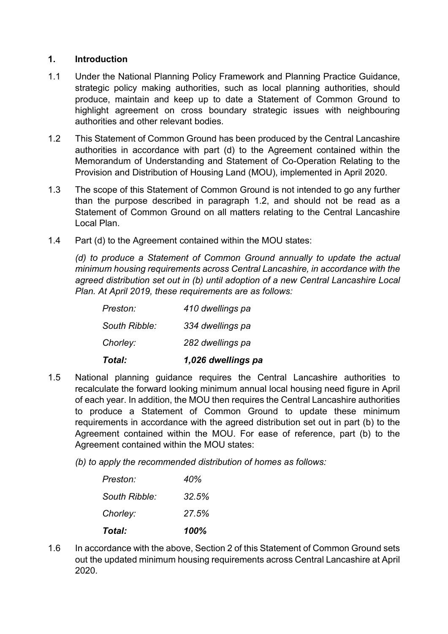#### 1. Introduction

- 1.1 Under the National Planning Policy Framework and Planning Practice Guidance, strategic policy making authorities, such as local planning authorities, should produce, maintain and keep up to date a Statement of Common Ground to highlight agreement on cross boundary strategic issues with neighbouring authorities and other relevant bodies.
- 1.2 This Statement of Common Ground has been produced by the Central Lancashire authorities in accordance with part (d) to the Agreement contained within the Memorandum of Understanding and Statement of Co-Operation Relating to the Provision and Distribution of Housing Land (MOU), implemented in April 2020.
- 1.3 The scope of this Statement of Common Ground is not intended to go any further than the purpose described in paragraph 1.2, and should not be read as a Statement of Common Ground on all matters relating to the Central Lancashire Local Plan.
- 1.4 Part (d) to the Agreement contained within the MOU states:

(d) to produce a Statement of Common Ground annually to update the actual minimum housing requirements across Central Lancashire, in accordance with the agreed distribution set out in (b) until adoption of a new Central Lancashire Local Plan. At April 2019, these requirements are as follows:

| Total:        | 1,026 dwellings pa |
|---------------|--------------------|
| Chorley:      | 282 dwellings pa   |
| South Ribble: | 334 dwellings pa   |
| Preston:      | 410 dwellings pa   |

- 1.5 National planning guidance requires the Central Lancashire authorities to recalculate the forward looking minimum annual local housing need figure in April of each year. In addition, the MOU then requires the Central Lancashire authorities to produce a Statement of Common Ground to update these minimum requirements in accordance with the agreed distribution set out in part (b) to the Agreement contained within the MOU. For ease of reference, part (b) to the Agreement contained within the MOU states:
	- (b) to apply the recommended distribution of homes as follows:

| Total:        | 100%  |
|---------------|-------|
| Chorley:      | 27.5% |
| South Ribble: | 32.5% |
| Preston:      | 40%   |

1.6 In accordance with the above, Section 2 of this Statement of Common Ground sets out the updated minimum housing requirements across Central Lancashire at April 2020.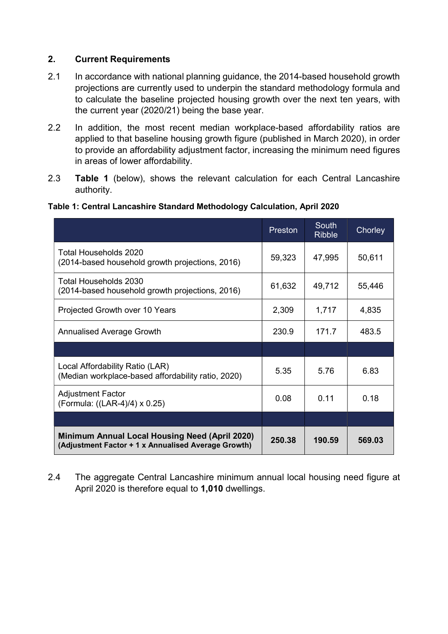#### 2. Current Requirements

- 2.1 In accordance with national planning guidance, the 2014-based household growth projections are currently used to underpin the standard methodology formula and to calculate the baseline projected housing growth over the next ten years, with the current year (2020/21) being the base year.
- 2.2 In addition, the most recent median workplace-based affordability ratios are applied to that baseline housing growth figure (published in March 2020), in order to provide an affordability adjustment factor, increasing the minimum need figures in areas of lower affordability.
- 2.3 Table 1 (below), shows the relevant calculation for each Central Lancashire authority.

|                                                                                                              | Preston | <b>South</b><br><b>Ribble</b> | Chorley |
|--------------------------------------------------------------------------------------------------------------|---------|-------------------------------|---------|
| Total Households 2020<br>(2014-based household growth projections, 2016)                                     | 59,323  | 47,995                        | 50,611  |
| Total Households 2030<br>(2014-based household growth projections, 2016)                                     | 61,632  | 49,712                        | 55,446  |
| Projected Growth over 10 Years                                                                               | 2,309   | 1,717                         | 4,835   |
| <b>Annualised Average Growth</b>                                                                             | 230.9   | 171.7                         | 483.5   |
|                                                                                                              |         |                               |         |
| Local Affordability Ratio (LAR)<br>(Median workplace-based affordability ratio, 2020)                        | 5.35    | 5.76                          | 6.83    |
| <b>Adjustment Factor</b><br>(Formula: ((LAR-4)/4) x 0.25)                                                    | 0.08    | 0.11                          | 0.18    |
|                                                                                                              |         |                               |         |
| <b>Minimum Annual Local Housing Need (April 2020)</b><br>(Adjustment Factor + 1 x Annualised Average Growth) | 250.38  | 190.59                        | 569.03  |

#### Table 1: Central Lancashire Standard Methodology Calculation, April 2020

2.4 The aggregate Central Lancashire minimum annual local housing need figure at April 2020 is therefore equal to 1,010 dwellings.